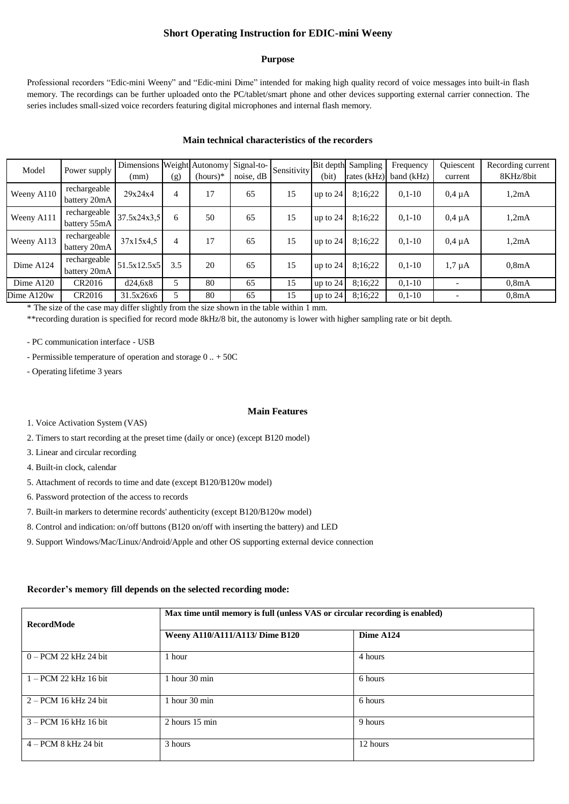# **Short Operating Instruction for EDIC-mini Weeny**

# **Purpose**

Professional recorders "Еdic-mini Weeny" and "Еdic-mini Dime" intended for making high quality record of voice messages into built-in flash memory. The recordings can be further uploaded onto the PC/tablet/smart phone and other devices supporting external carrier connection. The series includes small-sized voice recorders featuring digital microphones and internal flash memory.

# **Main technical characteristics of the recorders**

| Model       | Power supply                 | Dimensions Weight Autonomy Signal-to-<br>(mm) | (g) | $(hours)*$ | noise, dB | Sensitivity | (bit)            | Bit depth Sampling<br>rates (kHz) | Frequency<br>band (kHz) | Quiescent<br>current | Recording current<br>8KHz/8bit |
|-------------|------------------------------|-----------------------------------------------|-----|------------|-----------|-------------|------------------|-----------------------------------|-------------------------|----------------------|--------------------------------|
| Weeny A110  | rechargeable<br>battery 20mA | 29x24x4                                       | 4   | 17         | 65        | 15          | up to $24$       | 8:16:22                           | $0.1 - 10$              | $0.4 \mu A$          | 1,2mA                          |
| Weeny A111  | rechargeable<br>battery 55mA | 37.5x24x3.5                                   | 6   | 50         | 65        | 15          | up to $24$       | 8:16:22                           | $0.1 - 10$              | $0.4 \mu A$          | 1,2mA                          |
| Weeny A113  | rechargeable<br>battery 20mA | 37x15x4.5                                     | 4   | 17         | 65        | 15          | up to $24$       | 8:16:22                           | $0.1 - 10$              | $0.4 \mu A$          | 1,2mA                          |
| Dime A124   | rechargeable<br>battery 20mA | 51.5x12.5x5                                   | 3.5 | 20         | 65        | 15          | up to $24$       | 8:16:22                           | $0.1 - 10$              | $1,7 \mu A$          | 0.8 <sub>m</sub> A             |
| Dime $A120$ | CR2016                       | d24, 6x8                                      | 5   | 80         | 65        | 15          | $\vert$ up to 24 | 8:16:22                           | $0.1 - 10$              |                      | 0.8 <sub>m</sub> A             |
| Dime A120w  | CR2016                       | 31.5x26x6                                     |     | 80         | 65        | 15          | up to 24         | 8:16:22                           | $0,1-10$                |                      | 0.8 <sub>m</sub> A             |

\* The size of the case may differ slightly from the size shown in the table within 1 mm.

\*\*recording duration is specified for record mode 8kHz/8 bit, the autonomy is lower with higher sampling rate or bit depth.

- PC communication interface USB
- Permissible temperature of operation and storage 0 .. + 50C
- Operating lifetime 3 years

#### **Main Features**

- 1. Voice Activation System (VAS)
- 2. Timers to start recording at the preset time (daily or once) (except B120 model)
- 3. Linear and circular recording
- 4. Built-in clock, calendar
- 5. Attachment of records to time and date (except B120/B120w model)
- 6. Password protection of the access to records
- 7. Built-in markers to determine records' authenticity (except B120/B120w model)
- 8. Control and indication: on/off buttons (B120 on/off with inserting the battery) and LED
- 9. Support Windows/Mac/Linux/Android/Apple and other OS supporting external device connection

# **Recorder's memory fill depends on the selected recording mode:**

| <b>RecordMode</b>       | Max time until memory is full (unless VAS or circular recording is enabled) |           |  |  |  |  |
|-------------------------|-----------------------------------------------------------------------------|-----------|--|--|--|--|
|                         | Weeny A110/A111/A113/ Dime B120                                             | Dime A124 |  |  |  |  |
| 0 – PCM 22 kHz 24 bit   | 1 hour                                                                      | 4 hours   |  |  |  |  |
| $1 - PCM$ 22 kHz 16 bit | hour 30 min                                                                 | 6 hours   |  |  |  |  |
| $2 - PCM$ 16 kHz 24 bit | hour 30 min                                                                 | 6 hours   |  |  |  |  |
| $3 - PCM$ 16 kHz 16 bit | $2$ hours $15$ min                                                          | 9 hours   |  |  |  |  |
| $4 - PCM$ 8 kHz 24 bit  | 3 hours                                                                     | 12 hours  |  |  |  |  |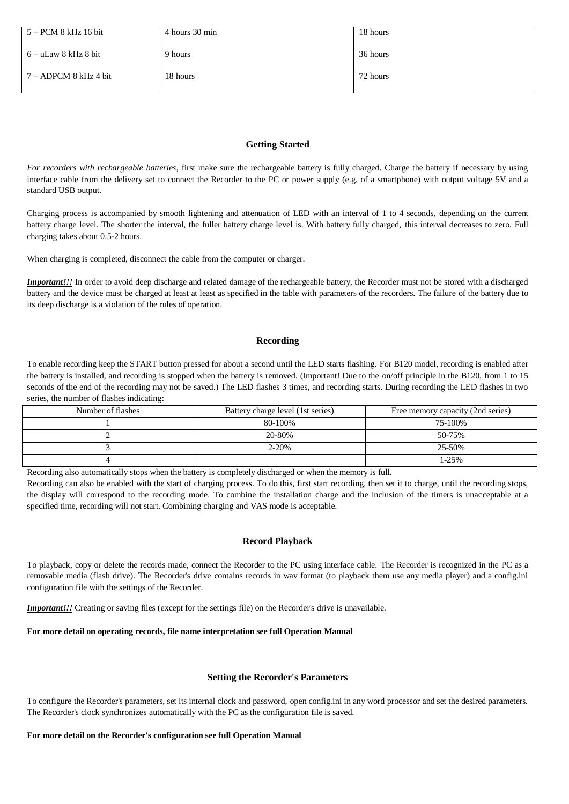| 5 – PCM 8 kHz 16 bit   | 4 hours 30 min | 18 hours |
|------------------------|----------------|----------|
| $6 - uLaw 8 kHz 8 bit$ | 9 hours        | 36 hours |
| 7 – ADPCM 8 kHz 4 bit  | 18 hours       | 72 hours |

# **Getting Started**

*For recorders with rechargeable batteries*, first make sure the rechargeable battery is fully charged. Charge the battery if necessary by using interface cable from the delivery set to connect the Recorder to the PC or power supply (e.g. of a smartphone) with output voltage 5V and a standard USB output.

Charging process is accompanied by smooth lightening and attenuation of LED with an interval of 1 to 4 seconds, depending on the current battery charge level. The shorter the interval, the fuller battery charge level is. With battery fully charged, this interval decreases to zero. Full charging takes about 0.5-2 hours.

When charging is completed, disconnect the cable from the computer or charger.

*Important!!!* In order to avoid deep discharge and related damage of the rechargeable battery, the Recorder must not be stored with a discharged battery and the device must be charged at least at least as specified in the table with parameters of the recorders. The failure of the battery due to its deep discharge is a violation of the rules of operation.

# **Recording**

To enable recording keep the START button pressed for about a second until the LED starts flashing. For B120 model, recording is enabled after the battery is installed, and recording is stopped when the battery is removed. (Important! Due to the on/off principle in the B120, from 1 to 15 seconds of the end of the recording may not be saved.) The LED flashes 3 times, and recording starts. During recording the LED flashes in two series, the number of flashes indicating:

| Number of flashes | Battery charge level (1st series) | Free memory capacity (2nd series) |
|-------------------|-----------------------------------|-----------------------------------|
|                   | 80-100%                           | 75-100%                           |
|                   | 20-80%                            | 50-75%                            |
|                   | $2 - 20%$                         | 25-50%                            |
|                   |                                   | $1 - 25%$                         |

Recording also automatically stops when the battery is completely discharged or when the memory is full.

Recording can also be enabled with the start of charging process. To do this, first start recording, then set it to charge, until the recording stops, the display will correspond to the recording mode. To combine the installation charge and the inclusion of the timers is unacceptable at a specified time, recording will not start. Combining charging and VAS mode is acceptable.

### **Record Playback**

To playback, copy or delete the records made, connect the Recorder to the PC using interface cable. The Recorder is recognized in the PC as a removable media (flash drive). The Recorder's drive contains records in wav format (to playback them use any media player) and a config.ini configuration file with the settings of the Recorder.

*Important!!!* Creating or saving files (except for the settings file) on the Recorder's drive is unavailable.

### **For more detail on operating records, file name interpretation see full Operation Manual**

#### **Setting the Recorder's Parameters**

To configure the Recorder's parameters, set its internal clock and password, open config.ini in any word processor and set the desired parameters. The Recorder's clock synchronizes automatically with the PC as the configuration file is saved.

## **For more detail on the Recorder's configuration see full Operation Manual**